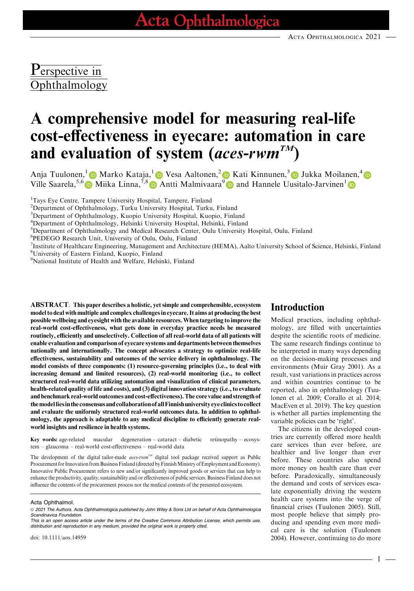## Perspective in Ophthalmology

# A comprehensive model for measuring real-life cost-effectiveness in eyecare: automation in care and evaluation of system (aces-rwm<sup>TM</sup>)

Anja Tuulonen,<sup>1</sup> Marko Kataja,<sup>1</sup> D Vesa Aaltonen,<sup>[2](https://orcid.org/0000-0002-0136-9999)</sup> D Kati Kinnunen,<sup>[3](https://orcid.org/0000-0002-1641-0552)</sup> D Jukka Moilanen,<sup>4</sup> Ville Saarela,<sup>5,[6](https://orcid.org/0000-0003-3189-7626)</sup> Miika Linna,<sup>7,[8](https://orcid.org/0000-0003-2237-6933)</sup> Antti Malmivaara<sup>[9](https://orcid.org/0000-0002-0136-9999)</sup> and Hannele Uusitalo-Jarvinen<sup>[1](https://orcid.org/0000-0002-2030-295X)</sup>

<sup>1</sup>Tays Eye Centre, Tampere University Hospital, Tampere, Finland

<sup>2</sup>Department of Ophthalmology, Turku University Hospital, Turku, Finland

<sup>3</sup>Department of Ophthalmology, Kuopio University Hospital, Kuopio, Finland

4 Department of Ophthalmology, Helsinki University Hospital, Helsinki, Finland

<sup>5</sup>Department of Ophthalmology and Medical Research Center, Oulu University Hospital, Oulu, Finland

6 PEDEGO Research Unit, University of Oulu, Oulu, Finland

<sup>7</sup>Institute of Healthcare Engineering, Management and Architecture (HEMA), Aalto University School of Science, Helsinki, Finland

8 University of Eastern Finland, Kuopio, Finland

9 National Institute of Health and Welfare, Helsinki, Finland

ABSTRACT. This paper describes a holistic, yet simple and comprehensible, ecosystem model to deal with multiple and complex challenges in eyecare. It aims at producing the best possible wellbeing and eyesight with the available resources.When targeting to improve the real-world cost-effectiveness, what gets done in everyday practice needs be measured routinely, efficiently and unselectively. Collection of all real-world data of all patients will enable evaluation and comparison of eyecare systems and departments between themselves nationally and internationally. The concept advocates a strategy to optimize real-life effectiveness, sustainability and outcomes of the service delivery in ophthalmology. The model consists of three components: (1) resource-governing principles (i.e., to deal with increasing demand and limited resources), (2) real-world monitoring (i.e., to collect structured real-world data utilizing automation and visualization of clinical parameters, health-related quality of life and costs), and (3) digital innovation strategy (i.e., to evaluate and benchmark real-world outcomes and cost-effectiveness). The core value and strength of themodelliesin the consensus andcollaboration of allFinnish universityeye clinics tocollect and evaluate the uniformly structured real-world outcomes data. In addition to ophthalmology, the approach is adaptable to any medical discipline to efficiently generate realworld insights and resilience in health systems.

Key words: age-related macular degeneration – cataract – diabetic retinopathy – ecosystem – glaucoma – real-world cost-effectiveness – real-world data

The development of the digital tailor-made *aces-rwm*<sup>TM</sup> digital tool package received support as Public Procurement for Innovation from Business Finland (directed by Finnish Ministry of Employment and Economy). Innovative Public Procurement refers to new and/or significantly improved goods or services that can help to enhance the productivity, quality, sustainability and/or effectiveness of public services. Business Finland does not influence the contents of the procurement process nor the medical contents of the presented ecosystem.

ª 2021 The Authors. Acta Ophthalmologica published by John Wiley & Sons Ltd on behalf of Acta Ophthalmologica Scandinavica Foundation.

This is an open access article under the terms of the Creative Commons Attribution License, which permits use, distribution and reproduction in any medium, provided the original work is properly cited.

doi: 10.1111/aos.14959

#### Introduction

Medical practices, including ophthalmology, are filled with uncertainties despite the scientific roots of medicine. The same research findings continue to be interpreted in many ways depending on the decision-making processes and environments (Muir Gray 2001). As a result, vast variations in practices across and within countries continue to be reported, also in ophthalmology (Tuulonen et al. 2009; Corallo et al. 2014; MacEven et al. 2019). The key question is whether all parties implementing the variable policies can be 'right'.

The citizens in the developed countries are currently offered more health care services than ever before, are healthier and live longer than ever before. These countries also spend more money on health care than ever before. Paradoxically, simultaneously the demand and costs of services escalate exponentially driving the western health care systems into the verge of financial crises (Tuulonen 2005). Still, most people believe that simply producing and spending even more medical care is the solution (Tuulonen 2004). However, continuing to do more

Acta Ophthalmol.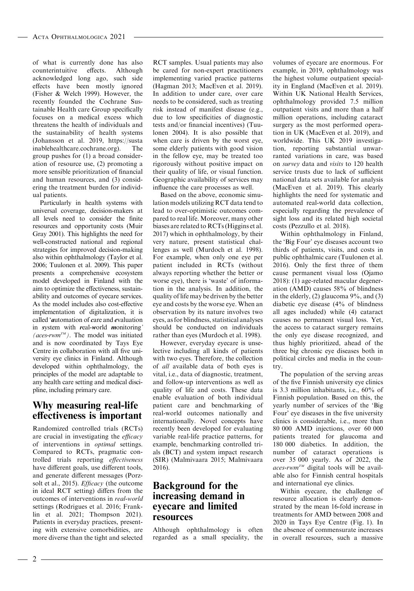of what is currently done has also counterintuitive effects. Although acknowledged long ago, such side effects have been mostly ignored (Fisher & Welch 1999). However, the recently founded the Cochrane Sustainable Health care Group specifically focuses on a medical excess which threatens the health of individuals and the sustainability of health systems (Johansson et al. 2019, [https://susta](https://sustainablehealthcare.cochrane.org) [inablehealthcare.cochrane.org](https://sustainablehealthcare.cochrane.org)). The group pushes for (1) a broad consideration of resource use, (2) promoting a more sensible prioritization of financial and human resources, and (3) considering the treatment burden for individual patients.

Particularly in health systems with universal coverage, decision-makers at all levels need to consider the finite resources and opportunity costs (Muir Gray 2001). This highlights the need for well-constructed national and regional strategies for improved decision-making also within ophthalmology (Taylor et al. 2006; Tuulonen et al. 2009). This paper presents a comprehensive ecosystem model developed in Finland with the aim to optimize the effectiveness, sustainability and outcomes of eyecare services. As the model includes also cost-effective implementation of digitalization, it is called 'automation of care and evaluation in system with real-world monitoring' (aces-rwm<sup>TM</sup>). The model was initiated and is now coordinated by Tays Eye Centre in collaboration with all five university eye clinics in Finland. Although developed within ophthalmology, the principles of the model are adaptable to any health care setting and medical discipline, including primary care.

#### Why measuring real-life effectiveness is important

Randomized controlled trials (RCTs) are crucial in investigating the efficacy of interventions in optimal settings. Compared to RCTs, pragmatic controlled trials reporting effectiveness have different goals, use different tools, and generate different messages (Porzsolt et al., 2015). *Efficacy* (the outcome in ideal RCT setting) differs from the outcomes of interventions in real-world settings (Rodrigues et al. 2016; Franklin et al. 2021; Thompson 2021). Patients in everyday practices, presenting with extensive comorbidities, are more diverse than the tight and selected

RCT samples. Usual patients may also be cared for non-expert practitioners implementing varied practice patterns (Hagman 2013; MacEven et al. 2019). In addition to under care, over care needs to be considered, such as treating risk instead of manifest disease (e.g., due to low specificities of diagnostic tests and/or financial incentives) (Tuulonen 2004). It is also possible that when care is driven by the worst eye, some elderly patients with good vision in the fellow eye, may be treated too rigorously without positive impact on their quality of life, or visual function. Geographic availability of services may influence the care processes as well.

Based on the above, economic simulation models utilizing RCT data tend to lead to over-optimistic outcomes compared to real life. Moreover, many other biases are related to RCTs (Higgins et al. 2017) which in ophthalmology, by their very nature, present statistical challenges as well (Murdoch et al. 1998). For example, when only one eye per patient included in RCTs (without always reporting whether the better or worse eye), there is 'waste' of information in the analysis. In addition, the quality of life may be driven by the better eye and costs by the worse eye. When an observation by its nature involves two eyes, as for blindness, statistical analyses should be conducted on individuals rather than eyes (Murdoch et al. 1998).

However, everyday eyecare is unselective including all kinds of patients with two eyes. Therefore, the collection of all available data of both eyes is vital, i.e., data of diagnostic, treatment, and follow-up interventions as well as quality of life and costs. These data enable evaluation of both individual patient care and benchmarking of real-world outcomes nationally and internationally. Novel concepts have recently been developed for evaluating variable real-life practice patterns, for example, benchmarking controlled trials (BCT) and system impact research (SIR) (Malmivaara 2015; Malmivaara 2016).

#### Background for the increasing demand in eyecare and limited resources

Although ophthalmology is often regarded as a small speciality, the

volumes of eyecare are enormous. For example, in 2019, ophthalmology was the highest volume outpatient speciality in England (MacEven et al. 2019). Within UK National Health Services, ophthalmology provided 7.5 million outpatient visits and more than a half million operations, including cataract surgery as the most performed operation in UK (MacEven et al. 2019), and worldwide. This UK 2019 investigation, reporting substantial unwarranted variations in care, was based on survey data and visits to 120 health service trusts due to lack of sufficient national data sets available for analysis (MacEven et al. 2019). This clearly highlights the need for systematic and automated real-world data collection, especially regarding the prevalence of sight loss and its related high societal costs (Pezzullo et al. 2018).

Within ophthalmology in Finland, the 'Big Four' eye diseases account two thirds of patients, visits, and costs in public ophthalmic care (Tuulonen et al. 2016). Only the first three of them cause permanent visual loss (Ojamo 2018): (1) age-related macular degeneration (AMD) causes 58% of blindness in the elderly, (2) glaucoma 9%, and (3) diabetic eye disease (4% of blindness all ages included) while (4) cataract causes no permanent visual loss. Yet, the access to cataract surgery remains the only eye disease recognized, and thus highly prioritized, ahead of the three big chronic eye diseases both in political circles and media in the country.

The population of the serving areas of the five Finnish university eye clinics is 3.3 million inhabitants, i.e., 60% of Finnish population. Based on this, the yearly number of services of the 'Big Four' eye diseases in the five university clinics is considerable, i.e., more than 80 000 AMD injections, over 60 000 patients treated for glaucoma and 180 000 diabetics. In addition, the number of cataract operations is over 35 000 yearly. As of 2022, the  $\textit{aces-rwm}^{\tau_M}$  digital tools will be available also for Finnish central hospitals and international eye clinics.

Within eyecare, the challenge of resource allocation is clearly demonstrated by the mean 16-fold increase in treatments for AMD between 2008 and 2020 in Tays Eye Centre (Fig. 1). In the absence of commensurate increases in overall resources, such a massive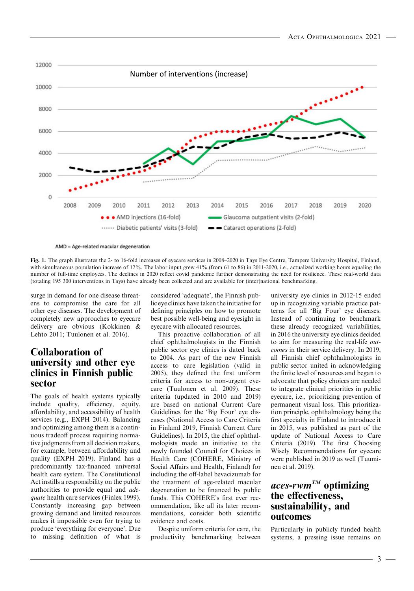

AMD = Age-related macular degeneration

Fig. 1. The graph illustrates the 2- to 16-fold increases of eyecare services in 2008–2020 in Tays Eye Centre, Tampere University Hospital, Finland, with simultaneous population increase of 12%. The labor input grew 41% (from 61 to 86) in 2011-2020, i.e., actualized working hours equaling the number of full-time employees. The declines in 2020 reflect covid pandemic further demonstrating the need for resilience. These real-world data (totaling 195 300 interventions in Tays) have already been collected and are available for (inter)national benchmarking.

surge in demand for one disease threatens to compromise the care for all other eye diseases. The development of completely new approaches to eyecare delivery are obvious (Kokkinen & Lehto 2011; Tuulonen et al. 2016).

#### Collaboration of university and other eye clinics in Finnish public sector

The goals of health systems typically include quality, efficiency, equity, affordability, and accessibility of health services (e.g., EXPH 2014). Balancing and optimizing among them is a continuous tradeoff process requiring normative judgments from all decision makers, for example, between affordability and quality (EXPH 2019). Finland has a predominantly tax-financed universal health care system. The Constitutional Act instills a responsibility on the public authorities to provide equal and adequate health care services (Finlex 1999). Constantly increasing gap between growing demand and limited resources makes it impossible even for trying to produce 'everything for everyone'. Due to missing definition of what is considered 'adequate', the Finnish public eye clinics have taken the initiative for defining principles on how to promote best possible well-being and eyesight in eyecare with allocated resources.

This proactive collaboration of all chief ophthalmologists in the Finnish public sector eye clinics is dated back to 2004. As part of the new Finnish access to care legislation (valid in 2005), they defined the first uniform criteria for access to non-urgent eyecare (Tuulonen et al. 2009). These criteria (updated in 2010 and 2019) are based on national Current Care Guidelines for the 'Big Four' eye diseases (National Access to Care Criteria in Finland 2019, Finnish Current Care Guidelines). In 2015, the chief ophthalmologists made an initiative to the newly founded Council for Choices in Health Care (COHERE, Ministry of Social Affairs and Health, Finland) for including the off-label bevacizumab for the treatment of age-related macular degeneration to be financed by public funds. This COHERE's first ever recommendation, like all its later recommendations, consider both scientific evidence and costs.

Despite uniform criteria for care, the productivity benchmarking between university eye clinics in 2012-15 ended up in recognizing variable practice patterns for all 'Big Four' eye diseases. Instead of continuing to benchmark these already recognized variabilities, in 2016 the university eye clinics decided to aim for measuring the real-life outcomes in their service delivery. In 2019, all Finnish chief ophthalmologists in public sector united in acknowledging the finite level of resources and began to advocate that policy choices are needed to integrate clinical priorities in public eyecare, i.e., prioritizing prevention of permanent visual loss. This prioritization principle, ophthalmology being the first specialty in Finland to introduce it in 2015, was published as part of the update of National Access to Care Criteria (2019). The first Choosing Wisely Recommendations for eyecare were published in 2019 as well (Tuuminen et al. 2019).

### $\mathit{access-rwm}^{TM}$  optimizing the effectiveness, sustainability, and outcomes

Particularly in publicly funded health systems, a pressing issue remains on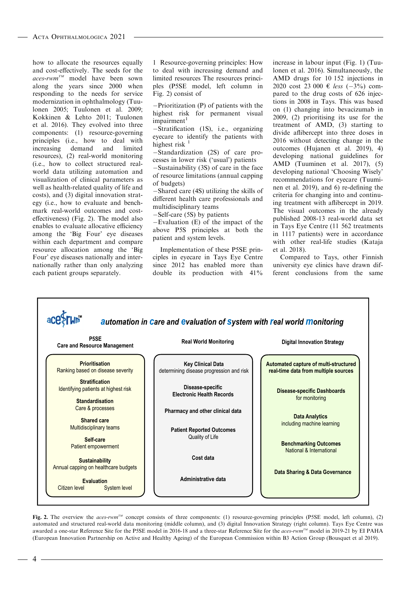how to allocate the resources equally and cost-effectively. The seeds for the  $\alpha$ ces-rwm<sup>TM</sup> model have been sown along the years since 2000 when responding to the needs for service modernization in ophthalmology (Tuulonen 2005; Tuulonen et al. 2009; Kokkinen & Lehto 2011; Tuulonen et al. 2016). They evolved into three components: (1) resource-governing principles (i.e., how to deal with<br>increasing demand and limited increasing demand and limited resources), (2) real-world monitoring (i.e., how to collect structured realworld data utilizing automation and visualization of clinical parameters as well as health-related quality of life and costs), and (3) digital innovation strategy (i.e., how to evaluate and benchmark real-world outcomes and costeffectiveness) (Fig. 2). The model also enables to evaluate allocative efficiency among the 'Big Four' eye diseases within each department and compare resource allocation among the 'Big Four' eye diseases nationally and internationally rather than only analyzing each patient groups separately.

1 Resource-governing principles: How to deal with increasing demand and limited resources The resources principles (P5SE model, left column in Fig. 2) consist of

Prioritization (P) of patients with the highest risk for permanent visual impairment<sup>1</sup>

Stratification (1S), i.e., organizing eyecare to identify the patients with highest risk  $<sup>1</sup>$ </sup>

-Standardization (2S) of care processes in lower risk ('usual') patients

-Sustainability (3S) of care in the face of resource limitations (annual capping of budgets)

Shared care (4S) utilizing the skills of different health care professionals and multidisciplinary teams

-Self-care (5S) by patients

 $-Evaluation$  (E) of the impact of the above P5S principles at both the patient and system levels.

Implementation of these P5SE principles in eyecare in Tays Eye Centre since 2012 has enabled more than double its production with 41%

increase in labour input (Fig. 1) (Tuulonen et al. 2016). Simultaneously, the AMD drugs for 10 152 injections in 2020 cost 23 000 € less  $(-3\%)$  compared to the drug costs of 626 injections in 2008 in Tays. This was based on (1) changing into bevacizumab in 2009, (2) prioritising its use for the treatment of AMD, (3) starting to divide aflibercept into three doses in 2016 without detecting change in the outcomes (Hujanen et al. 2019), 4) developing national guidelines for AMD (Tuuminen et al. 2017), (5) developing national 'Choosing Wisely' recommendations for eyecare (Tuuminen et al. 2019), and 6) re-defining the criteria for changing into and continuing treatment with aflibercept in 2019. The visual outcomes in the already published 2008-13 real-world data set in Tays Eye Centre (11 562 treatments in 1117 patients) were in accordance with other real-life studies (Kataja et al. 2018).

Compared to Tays, other Finnish university eye clinics have drawn different conclusions from the same



Fig. 2. The overview the aces-rwm<sup>TM</sup> concept consists of three components: (1) resource-governing principles (P5SE model, left column), (2) automated and structured real-world data monitoring (middle column), and (3) digital Innovation Strategy (right column). Tays Eye Centre was awarded a one-star Reference Site for the P5SE model in 2016-18 and a three-star Reference Site for the *aces-rwm<sup>TM</sup>* model in 2019-21 by EI PAHA (European Innovation Partnership on Active and Healthy Ageing) of the European Commission within B3 Action Group (Bousquet et al 2019).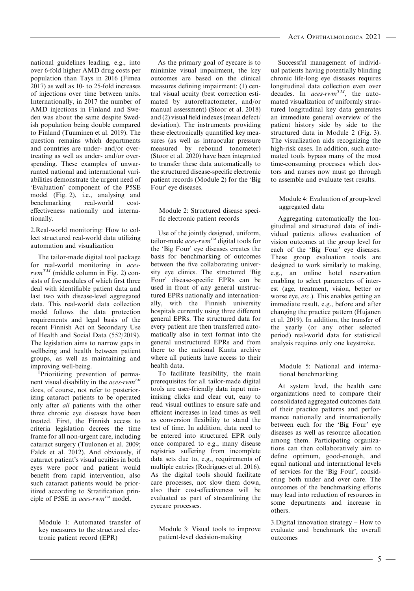national guidelines leading, e.g., into over 6-fold higher AMD drug costs per population than Tays in 2016 (Fimea 2017) as well as 10- to 25-fold increases of injections over time between units. Internationally, in 2017 the number of AMD injections in Finland and Sweden was about the same despite Swedish population being double compared to Finland (Tuuminen et al. 2019). The question remains which departments and countries are under- and/or overtreating as well as under- and/or overspending. These examples of unwarranted national and international variabilities demonstrate the urgent need of 'Evaluation' component of the P5SE model (Fig. 2), i.e., analysing and benchmarking real-world costeffectiveness nationally and internationally.

2.Real-world monitoring: How to collect structured real-world data utilizing automation and visualization

The tailor-made digital tool package for real-world monitoring in aces $rwm^{TM}$  (middle column in Fig. 2) consists of five modules of which first three deal with identifiable patient data and last two with disease-level aggregated data. This real-world data collection model follows the data protection requirements and legal basis of the recent Finnish Act on Secondary Use of Health and Social Data (552/2019). The legislation aims to narrow gaps in wellbeing and health between patient groups, as well as maintaining and improving well-being.

<sup>1</sup>Prioritizing prevention of permanent visual disability in the *aces-rwm*<sup>TM</sup> does, of course, not refer to posteriorizing cataract patients to be operated only after *all* patients with the other three chronic eye diseases have been treated. First, the Finnish access to criteria legislation decrees the time frame for all non-urgent care, including cataract surgery (Tuulonen et al. 2009; Falck et al. 2012). And obviously, if cataract patient's visual acuities in both eyes were poor and patient would benefit from rapid intervention, also such cataract patients would be prioritized according to Stratification principle of P5SE in *aces-rwm*<sup>TM</sup> model.

Module 1: Automated transfer of key measures to the structured electronic patient record (EPR)

As the primary goal of eyecare is to minimize visual impairment, the key outcomes are based on the clinical measures defining impairment: (1) central visual acuity (best correction estimated by autorefractometer, and/or manual assessment) (Stoor et al. 2018) and (2) visual field indexes (mean defect/ deviation). The instruments providing these electronically quantified key measures (as well as intraocular pressure measured by rebound tonometer) (Stoor et al. 2020) have been integrated to transfer these data automatically to the structured disease-specific electronic patient records (Module 2) for the 'Big Four' eye diseases.

Module 2: Structured disease specific electronic patient records

Use of the jointly designed, uniform, tailor-made aces-rwm<sup>TM</sup> digital tools for the 'Big Four' eye diseases creates the basis for benchmarking of outcomes between the five collaborating university eye clinics. The structured 'Big Four' disease-specific EPRs can be used in front of any general unstructured EPRs nationally and internationally, with the Finnish university hospitals currently using three different general EPRs. The structured data for every patient are then transferred automatically also in text format into the general unstructured EPRs and from there to the national Kanta archive where all patients have access to their health data.

To facilitate feasibility, the main prerequisites for all tailor-made digital tools are user-friendly data input minimising clicks and clear cut, easy to read visual outlines to ensure safe and efficient increases in lead times as well as conversion flexibility to stand the test of time. In addition, data need to be entered into structured EPR only once compared to e.g., many disease registries suffering from incomplete data sets due to, e.g., requirements of multiple entries (Rodrigues et al. 2016). As the digital tools should facilitate care processes, not slow them down, also their cost-effectiveness will be evaluated as part of streamlining the eyecare processes.

Module 3: Visual tools to improve patient-level decision-making

Successful management of individual patients having potentially blinding chronic life-long eye diseases requires longitudinal data collection even over decades. In  $\alpha$ ces-rwm<sup>TM</sup>, the automated visualization of uniformly structured longitudinal key data generates an immediate general overview of the patient history side by side to the structured data in Module 2 (Fig. 3). The visualization aids recognizing the high-risk cases. In addition, such automated tools bypass many of the most time-consuming processes which doctors and nurses now must go through to assemble and evaluate test results.

#### Module 4: Evaluation of group-level aggregated data

Aggregating automatically the longitudinal and structured data of individual patients allows evaluation of vision outcomes at the group level for each of the 'Big Four' eye diseases. These group evaluation tools are designed to work similarly to making, e.g., an online hotel reservation enabling to select parameters of interest (age, treatment, vision, better or worse eye, etc.). This enables getting an immediate result, e.g., before and after changing the practice pattern (Hujanen et al. 2019). In addition, the transfer of the yearly (or any other selected period) real-world data for statistical analysis requires only one keystroke.

Module 5: National and international benchmarking

At system level, the health care organizations need to compare their consolidated aggregated outcomes data of their practice patterns and performance nationally and internationally between each for the 'Big Four' eye diseases as well as resource allocation among them. Participating organizations can then collaboratively aim to define optimum, good-enough, and equal national and international levels of services for the 'Big Four', considering both under and over care. The outcomes of the benchmarking efforts may lead into reduction of resources in some departments and increase in others.

3.Digital innovation strategy – How to evaluate and benchmark the overall outcomes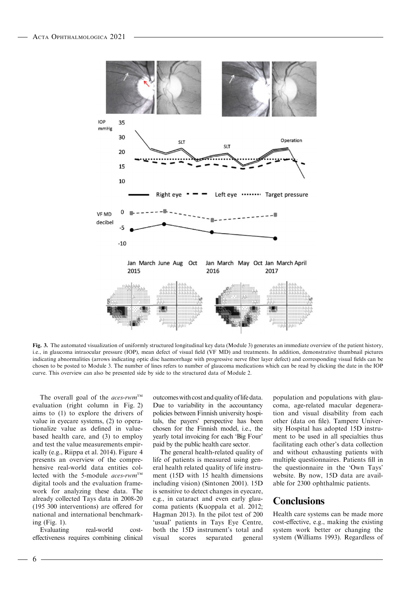

Fig. 3. The automated visualization of uniformly structured longitudinal key data (Module 3) generates an immediate overview of the patient history, i.e., in glaucoma intraocular pressure (IOP), mean defect of visual field (VF MD) and treatments. In addition, demonstrative thumbnail pictures indicating abnormalities (arrows indicating optic disc haemorrhage with progressive nerve fiber layer defect) and corresponding visual fields can be chosen to be posted to Module 3. The number of lines refers to number of glaucoma medications which can be read by clicking the date in the IOP curve. This overview can also be presented side by side to the structured data of Module 2.

The overall goal of the *aces-rwm*<sup>TM</sup> evaluation (right column in Fig. 2) aims to (1) to explore the drivers of value in eyecare systems, (2) to operationalize value as defined in valuebased health care, and (3) to employ and test the value measurements empirically (e.g., Riippa et al. 2014). Figure 4 presents an overview of the comprehensive real-world data entities collected with the 5-module  $aces$ -rwm<sup>TM</sup> digital tools and the evaluation framework for analyzing these data. The already collected Tays data in 2008-20 (195 300 interventions) are offered for national and international benchmarking (Fig. 1).

Evaluating real-world costeffectiveness requires combining clinical outcomes with cost and quality of life data. Due to variability in the accountancy policies between Finnish university hospitals, the payers' perspective has been chosen for the Finnish model, i.e., the yearly total invoicing for each 'Big Four' paid by the public health care sector.

The general health-related quality of life of patients is measured using general health related quality of life instrument (15D with 15 health dimensions including vision) (Sintonen 2001). 15D is sensitive to detect changes in eyecare, e.g., in cataract and even early glaucoma patients (Kuoppala et al. 2012; Hagman 2013). In the pilot test of 200 'usual' patients in Tays Eye Centre, both the 15D instrument's total and visual scores separated general population and populations with glaucoma, age-related macular degeneration and visual disability from each other (data on file). Tampere University Hospital has adopted 15D instrument to be used in all specialties thus facilitating each other's data collection and without exhausting patients with multiple questionnaires. Patients fill in the questionnaire in the 'Own Tays' website. By now, 15D data are available for 2300 ophthalmic patients.

#### **Conclusions**

Health care systems can be made more cost-effective, e.g., making the existing system work better or changing the system (Williams 1993). Regardless of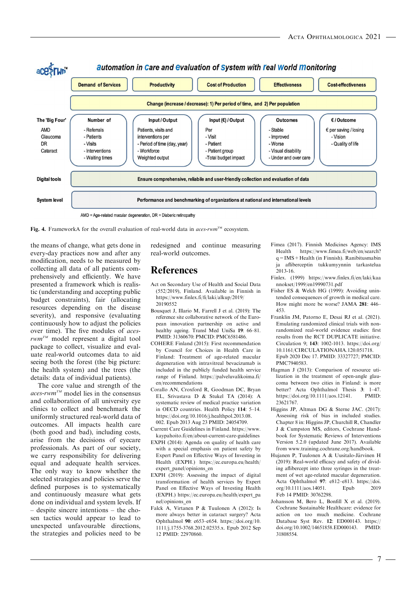

Fig. 4. FrameworkA for the overall evaluation of real-world data in aces-rwm™ ecosystem.

the means of change, what gets done in every-day practices now and after any modification, needs to be measured by collecting all data of all patients comprehensively and efficiently. We have presented a framework which is realistic (understanding and accepting public budget constraints), fair (allocating resources depending on the disease severity), and responsive (evaluating continuously how to adjust the policies over time). The five modules of aces $rwm^{TM}$  model represent a digital tool package to collect, visualize and evaluate real-world outcomes data to aid seeing both the forest (the big picture: the health system) and the trees (the details: data of individual patients).

The core value and strength of the  $access- rwm^{TM}$  model lies in the consensus and collaboration of all university eye clinics to collect and benchmark the uniformly structured real-world data of outcomes. All impacts health care (both good and bad), including costs, arise from the decisions of eyecare professionals. As part of our society, we carry responsibility for delivering equal and adequate health services. The only way to know whether the selected strategies and policies serve the defined purposes is to systematically and continuously measure what gets done on individual and system levels. If – despite sincere intentions – the chosen tactics would appear to lead to unexpected unfavourable directions, the strategies and policies need to be

redesigned and continue measuring real-world outcomes.

#### References

- Act on Secondary Use of Health and Social Data (552/2019), Finland. Available in Finnish in [https://www.finlex.fi/fi/laki/alkup/2019/](https://www.finlex.fi/fi/laki/alkup/2019/20190552) [20190552](https://www.finlex.fi/fi/laki/alkup/2019/20190552)
- Bousquet J, Illario M, Farrell J et al. (2019): The reference site collaborative network of the European innovation partnership on active and healthy ageing. Transl Med UniSa 19: 66–81. PMID: 31360670: PMCID: PMC6581486.
- COHERE Finland (2015): First recommendation by Council for Choices in Health Care in Finland: Treatment of age-related macular degeneration with intravitreal bevacizumab is included in the publicly funded health service range of Finland. [https://palveluvalikoima.fi/](https://palveluvalikoima.fi/en/recommendations) [en/recommendations](https://palveluvalikoima.fi/en/recommendations)
- Corallo AN, Croxford R, Goodman DC, Bryan EL, Srivastava D & Stukel TA (2014): A systematic review of medical practice variation in OECD countries. Health Policy 114: 5–14. [https://doi.org/10.1016/j.healthpol.2013.08.](https://doi.org/10.1016/j.healthpol.2013.08.002) [002.](https://doi.org/10.1016/j.healthpol.2013.08.002) Epub 2013 Aug 23 PMID: 24054709.
- Current Care Guidelines in Finland. [https://www.](https://www.kaypahoito.fi/en/about-current-care-guidelines) [kaypahoito.fi/en/about-current-care-guidelines](https://www.kaypahoito.fi/en/about-current-care-guidelines)
- EXPH (2014): Agenda on quality of health care with a special emphasis on patient safety by Expert Panel on Effective Ways of Investing in Health (EXPH.) [https://ec.europa.eu/health/](https://ec.europa.eu/health/expert_panel/opinions_en) [expert\\_panel/opinions\\_en](https://ec.europa.eu/health/expert_panel/opinions_en)
- EXPH (2019): Assessing the impact of digital transformation of health services by Expert Panel on Effective Ways of Investing Health (EXPH.) [https://ec.europa.eu/health/expert\\_pa](https://ec.europa.eu/health/expert_panel/opinions_en) [nel/opinions\\_en](https://ec.europa.eu/health/expert_panel/opinions_en)
- Falck A, Virtanen P & Tuulonen A (2012): Is more always better in cataract surgery? Acta Ophthalmol 90: e653–e654. [https://doi.org/10.](https://doi.org/10.1111/j.1755-3768.2012.02535.x) [1111/j.1755-3768.2012.02535.x.](https://doi.org/10.1111/j.1755-3768.2012.02535.x) Epub 2012 Sep 12 PMID: 22970860.
- Fimea (2017). Finnish Medicines Agency: IMS Health [https://www.fimea.fi/web/en/search?](https://www.fimea.fi/web/en/search?q=IMS%2BHealth)  $q =$ IMS + Health (in Finnish). Ranibitusmabin ja afliberceptin tukkumyynnin tarkastelua 2013-16.
- Finlex. (1999) [https://www.finlex.fi/en/laki/kaa](https://www.finlex.fi/en/laki/kaannokset/1999/en19990731.pdf) [nnokset/1999/en19990731.pdf](https://www.finlex.fi/en/laki/kaannokset/1999/en19990731.pdf)
- Fisher ES & Welch HG (1999): Avoiding unintended consequences of growth in medical care. How might more be worse? JAMA 281: 446– 453.
- Franklin JM, Patorno E, Desai RJ et al. (2021). Emulating randomized clinical trials with nonrandomized real-world evidence studies: first results from the RCT DUPLICATE initiative. Circulation 9; 143: 1002-1013. [https://doi.org/](https://doi.org/10.1161/CIRCULATIONAHA.120.051718) [10.1161/CIRCULATIONAHA.120.051718.](https://doi.org/10.1161/CIRCULATIONAHA.120.051718) Epub 2020 Dec 17. PMID: 33327727; PMCID: PMC7940583.
- Hagman J (2013): Comparison of resource utilization in the treatment of open-angle glaucoma between two cities in Finland: is more better? Acta Ophthalmol Thesis 3: 1–47. [https://doi.org/10.1111/aos.12141.](https://doi.org/10.1111/aos.12141) PMID: 23621767.
- Higgins JP, Altman DG & Sterne JAC. (2017): Assessing risk of bias in included studies. Chapter 8 in: Higgins JP, Churchill R, Chandler J & Cumpston MS, editors, Cochrane Handbook for Systematic Reviews of Interventions Version 5.2.0 (updated June 2017). Available from [www.training.cochrane.org/handbook](http://www.training.cochrane.org/handbook).
- Hujanen P, Tuulonen A & Uusitalo-Järvinen H (2019): Real-world efficacy and safety of dividing aflibercept into three syringes in the treatment of wet age-related macular degeneration. Acta Ophthalmol 97: e812–e813. [https://doi.](https://doi.org/10.1111/aos.14051) [org/10.1111/aos.14051.](https://doi.org/10.1111/aos.14051) Epub 2019 Feb 14 PMID: 30762298.
- Johansson M, Bero L, Bonfill X et al. (2019). Cochrane Sustainable Healthcare: evidence for action on too much medicine. Cochrane Database Syst Rev. 12: ED000143. [https://](https://doi.org/10.1002/14651858.ED000143) [doi.org/10.1002/14651858.ED000143](https://doi.org/10.1002/14651858.ED000143). PMID: 31808554.

7